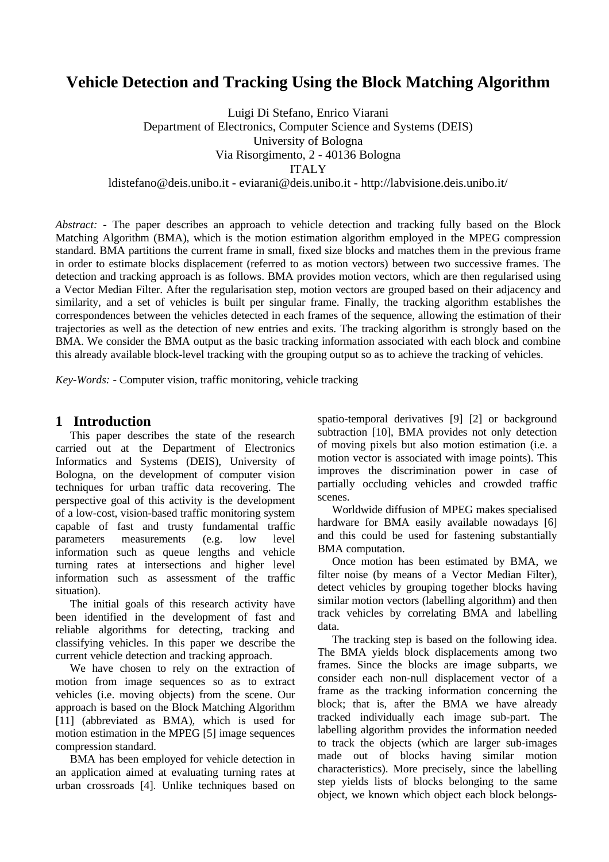# **Vehicle Detection and Tracking Using the Block Matching Algorithm**

Luigi Di Stefano, Enrico Viarani Department of Electronics, Computer Science and Systems (DEIS) University of Bologna Via Risorgimento, 2 - 40136 Bologna ITALY

ldistefano@deis.unibo.it - eviarani@deis.unibo.it - http://labvisione.deis.unibo.it/

*Abstract: -* The paper describes an approach to vehicle detection and tracking fully based on the Block Matching Algorithm (BMA), which is the motion estimation algorithm employed in the MPEG compression standard. BMA partitions the current frame in small, fixed size blocks and matches them in the previous frame in order to estimate blocks displacement (referred to as motion vectors) between two successive frames. The detection and tracking approach is as follows. BMA provides motion vectors, which are then regularised using a Vector Median Filter. After the regularisation step, motion vectors are grouped based on their adjacency and similarity, and a set of vehicles is built per singular frame. Finally, the tracking algorithm establishes the correspondences between the vehicles detected in each frames of the sequence, allowing the estimation of their trajectories as well as the detection of new entries and exits. The tracking algorithm is strongly based on the BMA. We consider the BMA output as the basic tracking information associated with each block and combine this already available block-level tracking with the grouping output so as to achieve the tracking of vehicles.

*Key-Words: -* Computer vision, traffic monitoring, vehicle tracking

## **1 Introduction**

This paper describes the state of the research carried out at the Department of Electronics Informatics and Systems (DEIS), University of Bologna, on the development of computer vision techniques for urban traffic data recovering. The perspective goal of this activity is the development of a low-cost, vision-based traffic monitoring system capable of fast and trusty fundamental traffic parameters measurements (e.g. low level information such as queue lengths and vehicle turning rates at intersections and higher level information such as assessment of the traffic situation).

The initial goals of this research activity have been identified in the development of fast and reliable algorithms for detecting, tracking and classifying vehicles. In this paper we describe the current vehicle detection and tracking approach.

We have chosen to rely on the extraction of motion from image sequences so as to extract vehicles (i.e. moving objects) from the scene. Our approach is based on the Block Matching Algorithm [11] (abbreviated as BMA), which is used for motion estimation in the MPEG [5] image sequences compression standard.

BMA has been employed for vehicle detection in an application aimed at evaluating turning rates at urban crossroads [4]. Unlike techniques based on spatio-temporal derivatives [9] [2] or background subtraction [10], BMA provides not only detection of moving pixels but also motion estimation (i.e. a motion vector is associated with image points). This improves the discrimination power in case of partially occluding vehicles and crowded traffic scenes.

Worldwide diffusion of MPEG makes specialised hardware for BMA easily available nowadays [6] and this could be used for fastening substantially BMA computation.

Once motion has been estimated by BMA, we filter noise (by means of a Vector Median Filter), detect vehicles by grouping together blocks having similar motion vectors (labelling algorithm) and then track vehicles by correlating BMA and labelling data.

The tracking step is based on the following idea. The BMA yields block displacements among two frames. Since the blocks are image subparts, we consider each non-null displacement vector of a frame as the tracking information concerning the block; that is, after the BMA we have already tracked individually each image sub-part. The labelling algorithm provides the information needed to track the objects (which are larger sub-images made out of blocks having similar motion characteristics). More precisely, since the labelling step yields lists of blocks belonging to the same object, we known which object each block belongs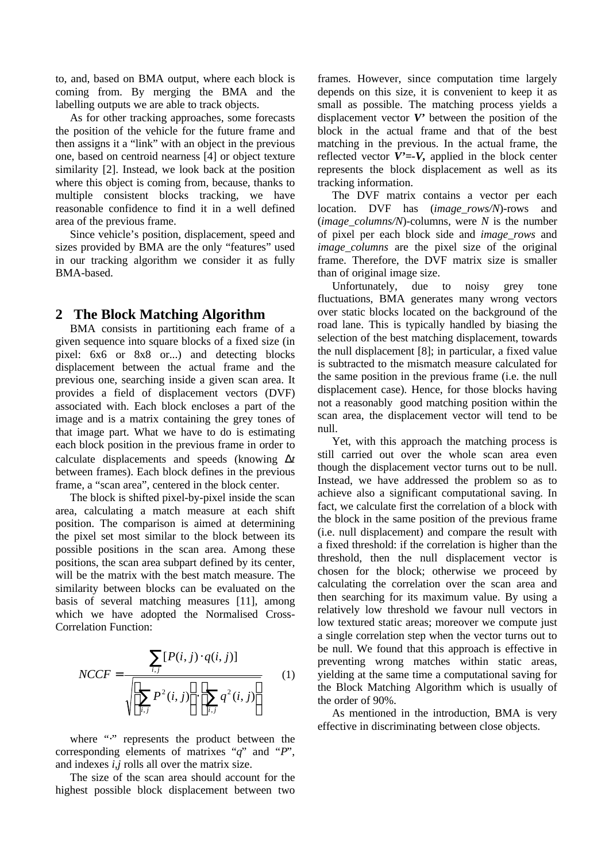to, and, based on BMA output, where each block is coming from. By merging the BMA and the labelling outputs we are able to track objects.

As for other tracking approaches, some forecasts the position of the vehicle for the future frame and then assigns it a "link" with an object in the previous one, based on centroid nearness [4] or object texture similarity [2]. Instead, we look back at the position where this object is coming from, because, thanks to multiple consistent blocks tracking, we have reasonable confidence to find it in a well defined area of the previous frame.

Since vehicle's position, displacement, speed and sizes provided by BMA are the only "features" used in our tracking algorithm we consider it as fully BMA-based.

## **2 The Block Matching Algorithm**

BMA consists in partitioning each frame of a given sequence into square blocks of a fixed size (in pixel: 6x6 or 8x8 or...) and detecting blocks displacement between the actual frame and the previous one, searching inside a given scan area. It provides a field of displacement vectors (DVF) associated with. Each block encloses a part of the image and is a matrix containing the grey tones of that image part. What we have to do is estimating each block position in the previous frame in order to calculate displacements and speeds (knowing *Dt* between frames). Each block defines in the previous frame, a "scan area", centered in the block center.

The block is shifted pixel-by-pixel inside the scan area, calculating a match measure at each shift position. The comparison is aimed at determining the pixel set most similar to the block between its possible positions in the scan area. Among these positions, the scan area subpart defined by its center, will be the matrix with the best match measure. The similarity between blocks can be evaluated on the basis of several matching measures [11], among which we have adopted the Normalised Cross-Correlation Function:

$$
NCCF = \frac{\sum_{i,j} [P(i,j) \cdot q(i,j)]}{\sqrt{\left[\sum_{i,j} P^2(i,j)\right] \cdot \left[\sum_{i,j} q^2(i,j)\right]}}
$$
(1)

where ":" represents the product between the corresponding elements of matrixes "*q*" and "*P*", and indexes *i,j* rolls all over the matrix size.

The size of the scan area should account for the highest possible block displacement between two frames. However, since computation time largely depends on this size, it is convenient to keep it as small as possible. The matching process yields a displacement vector *V'* between the position of the block in the actual frame and that of the best matching in the previous. In the actual frame, the reflected vector  $V' = V$ , applied in the block center represents the block displacement as well as its tracking information.

The DVF matrix contains a vector per each location. DVF has (*image\_rows/N*)-rows and  $(image\ columns/N$ -columns, were *N* is the number of pixel per each block side and *image\_rows* and *image\_columns* are the pixel size of the original frame. Therefore, the DVF matrix size is smaller than of original image size.

Unfortunately, due to noisy grey tone fluctuations, BMA generates many wrong vectors over static blocks located on the background of the road lane. This is typically handled by biasing the selection of the best matching displacement, towards the null displacement [8]; in particular, a fixed value is subtracted to the mismatch measure calculated for the same position in the previous frame (i.e. the null displacement case). Hence, for those blocks having not a reasonably good matching position within the scan area, the displacement vector will tend to be null.

Yet, with this approach the matching process is still carried out over the whole scan area even though the displacement vector turns out to be null. Instead, we have addressed the problem so as to achieve also a significant computational saving. In fact, we calculate first the correlation of a block with the block in the same position of the previous frame (i.e. null displacement) and compare the result with a fixed threshold: if the correlation is higher than the threshold, then the null displacement vector is chosen for the block; otherwise we proceed by calculating the correlation over the scan area and then searching for its maximum value. By using a relatively low threshold we favour null vectors in low textured static areas; moreover we compute just a single correlation step when the vector turns out to be null. We found that this approach is effective in preventing wrong matches within static areas, yielding at the same time a computational saving for the Block Matching Algorithm which is usually of the order of 90%.

As mentioned in the introduction, BMA is very effective in discriminating between close objects.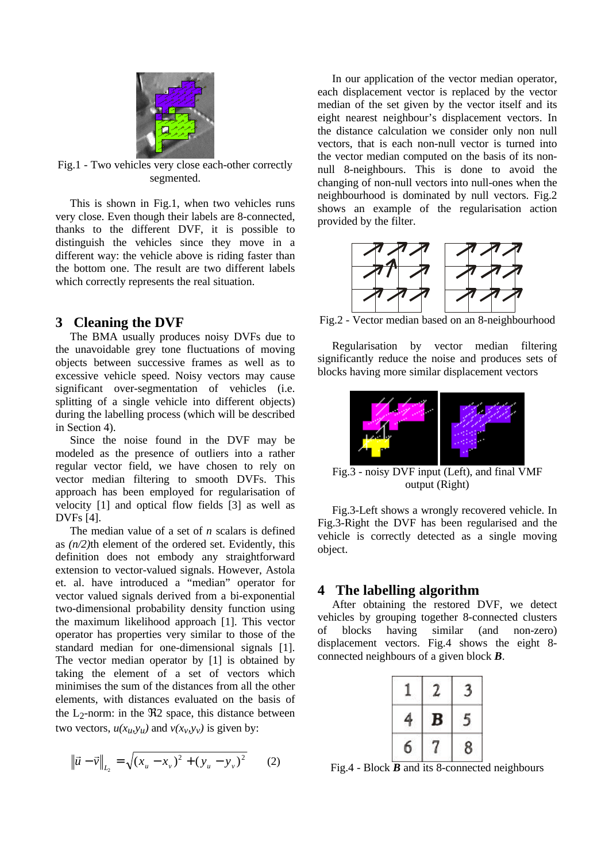

Fig.1 - Two vehicles very close each-other correctly segmented.

This is shown in Fig.1, when two vehicles runs very close. Even though their labels are 8-connected, thanks to the different DVF, it is possible to distinguish the vehicles since they move in a different way: the vehicle above is riding faster than the bottom one. The result are two different labels which correctly represents the real situation.

#### **3 Cleaning the DVF**

The BMA usually produces noisy DVFs due to the unavoidable grey tone fluctuations of moving objects between successive frames as well as to excessive vehicle speed. Noisy vectors may cause significant over-segmentation of vehicles (i.e. splitting of a single vehicle into different objects) during the labelling process (which will be described in Section 4).

Since the noise found in the DVF may be modeled as the presence of outliers into a rather regular vector field, we have chosen to rely on vector median filtering to smooth DVFs. This approach has been employed for regularisation of velocity [1] and optical flow fields [3] as well as DVFs [4].

The median value of a set of *n* scalars is defined as *(n/2)*th element of the ordered set. Evidently, this definition does not embody any straightforward extension to vector-valued signals. However, Astola et. al. have introduced a "median" operator for vector valued signals derived from a bi-exponential two-dimensional probability density function using the maximum likelihood approach [1]. This vector operator has properties very similar to those of the standard median for one-dimensional signals [1]. The vector median operator by [1] is obtained by taking the element of a set of vectors which minimises the sum of the distances from all the other elements, with distances evaluated on the basis of the  $L_2$ -norm: in the  $\Re$ 2 space, this distance between two vectors,  $u(x_u, y_u)$  and  $v(x_v, y_v)$  is given by:

$$
\left\| \vec{u} - \vec{v} \right\|_{L_2} = \sqrt{(x_u - x_v)^2 + (y_u - y_v)^2}
$$
 (2)

In our application of the vector median operator, each displacement vector is replaced by the vector median of the set given by the vector itself and its eight nearest neighbour's displacement vectors. In the distance calculation we consider only non null vectors, that is each non-null vector is turned into the vector median computed on the basis of its nonnull 8-neighbours. This is done to avoid the changing of non-null vectors into null-ones when the neighbourhood is dominated by null vectors. Fig.2 shows an example of the regularisation action provided by the filter.



Fig.2 - Vector median based on an 8-neighbourhood

Regularisation by vector median filtering significantly reduce the noise and produces sets of blocks having more similar displacement vectors



Fig.3 - noisy DVF input (Left), and final VMF output (Right)

Fig.3-Left shows a wrongly recovered vehicle. In Fig.3-Right the DVF has been regularised and the vehicle is correctly detected as a single moving object.

#### **4 The labelling algorithm**

After obtaining the restored DVF, we detect vehicles by grouping together 8-connected clusters of blocks having similar (and non-zero) displacement vectors. Fig.4 shows the eight 8 connected neighbours of a given block *B*.

Fig.4 - Block *B* and its 8-connected neighbours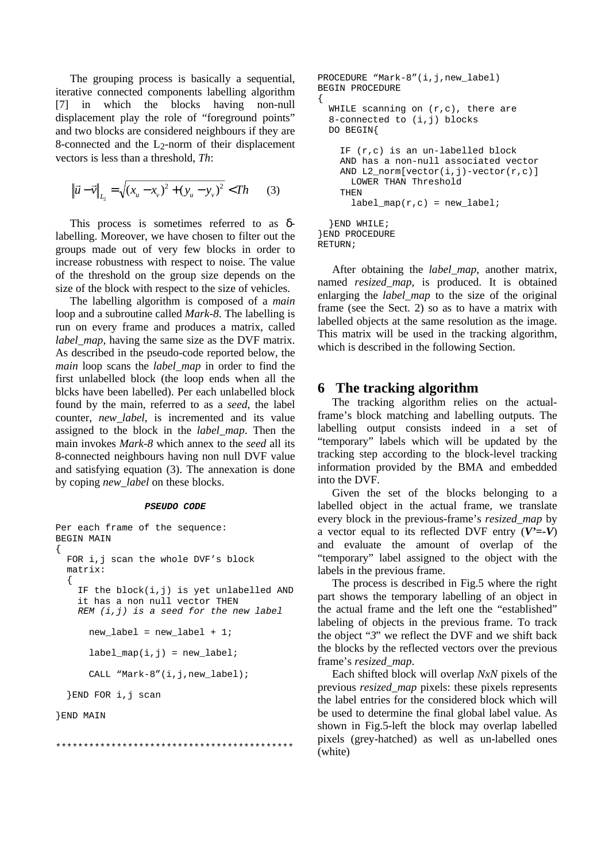The grouping process is basically a sequential, iterative connected components labelling algorithm [7] in which the blocks having non-null displacement play the role of "foreground points" and two blocks are considered neighbours if they are 8-connected and the  $L_2$ -norm of their displacement vectors is less than a threshold, *Th*:

$$
\left\| \vec{u} - \vec{v} \right\|_{L_2} = \sqrt{(x_u - x_v)^2 + (y_u - y_v)^2} < Th
$$
 (3)

This process is sometimes referred to as δlabelling. Moreover, we have chosen to filter out the groups made out of very few blocks in order to increase robustness with respect to noise. The value of the threshold on the group size depends on the size of the block with respect to the size of vehicles.

The labelling algorithm is composed of a *main* loop and a subroutine called *Mark-8*. The labelling is run on every frame and produces a matrix, called *label\_map*, having the same size as the DVF matrix. As described in the pseudo-code reported below, the *main* loop scans the *label\_map* in order to find the first unlabelled block (the loop ends when all the blcks have been labelled). Per each unlabelled block found by the main, referred to as a *seed*, the label counter, *new\_label*, is incremented and its value assigned to the block in the *label\_map*. Then the main invokes *Mark-8* which annex to the *seed* all its 8-connected neighbours having non null DVF value and satisfying equation (3). The annexation is done by coping *new\_label* on these blocks.

#### *PSEUDO CODE*

```
Per each frame of the sequence:
BEGIN MAIN
{
   FOR i,j scan the whole DVF's block
   matrix:
   {
     IF the block(i,j) is yet unlabelled AND
     it has a non null vector THEN
     REM (i,j) is a seed for the new label
       new_label = new_label + 1;
      label\_map(i,j) = new\_label;
      CALL "Mark-8"(i,j,new_label);
   }END FOR i,j scan
```

```
}END MAIN
```
\*\*\*\*\*\*\*\*\*\*\*\*\*\*\*\*\*\*\*\*\*\*\*\*\*\*\*\*\*\*\*\*\*\*\*\*\*\*\*\*\*\*\*

```
PROCEDURE "Mark-8"(i,j,new label)
BEGIN PROCEDURE
{
  WHILE scanning on (r, c), there are
   8-connected to (i,j) blocks
   DO BEGIN{
     IF (r,c) is an un-labelled block
     AND has a non-null associated vector
    AND L2 norm[vector(i,j)-vector(r,c)]
       LOWER THAN Threshold
     THEN
      label\_map(r,c) = new\_label;
   }END WHILE;
}END PROCEDURE
RETURN;
```
After obtaining the *label\_map*, another matrix, named *resized\_map*, is produced. It is obtained enlarging the *label map* to the size of the original frame (see the Sect. 2) so as to have a matrix with labelled objects at the same resolution as the image. This matrix will be used in the tracking algorithm, which is described in the following Section.

#### **6 The tracking algorithm**

The tracking algorithm relies on the actualframe's block matching and labelling outputs. The labelling output consists indeed in a set of "temporary" labels which will be updated by the tracking step according to the block-level tracking information provided by the BMA and embedded into the DVF.

Given the set of the blocks belonging to a labelled object in the actual frame, we translate every block in the previous-frame's *resized\_map* by a vector equal to its reflected DVF entry  $(V'=-V)$ and evaluate the amount of overlap of the "temporary" label assigned to the object with the labels in the previous frame.

The process is described in Fig.5 where the right part shows the temporary labelling of an object in the actual frame and the left one the "established" labeling of objects in the previous frame. To track the object "*3*" we reflect the DVF and we shift back the blocks by the reflected vectors over the previous frame's *resized\_map*.

Each shifted block will overlap *NxN* pixels of the previous *resized\_map* pixels: these pixels represents the label entries for the considered block which will be used to determine the final global label value. As shown in Fig.5-left the block may overlap labelled pixels (grey-hatched) as well as un-labelled ones (white)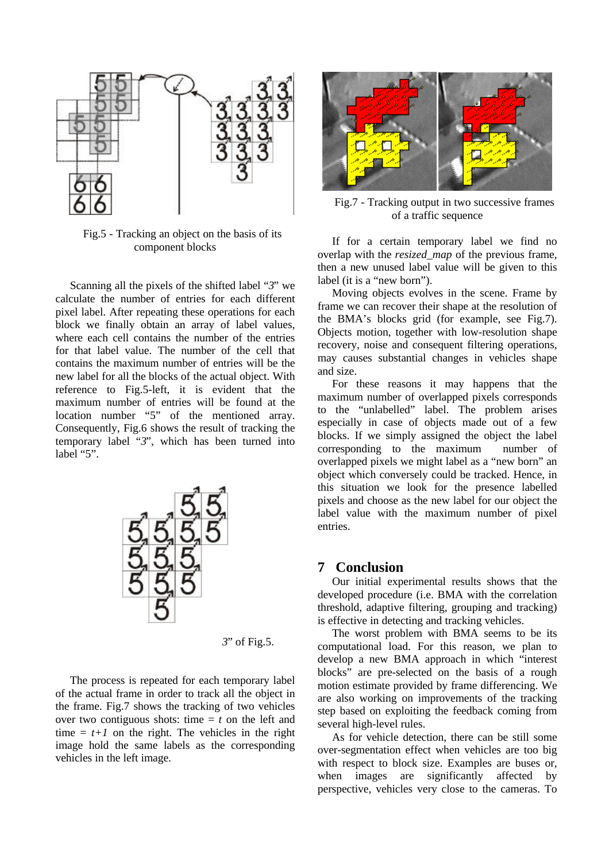

Fig.5 - Tracking an object on the basis of its component blocks

Scanning all the pixels of the shifted label "*3*" we calculate the number of entries for each different pixel label. After repeating these operations for each block we finally obtain an array of label values, where each cell contains the number of the entries for that label value. The number of the cell that contains the maximum number of entries will be the new label for all the blocks of the actual object. With reference to Fig.5-left, it is evident that the maximum number of entries will be found at the location number "5" of the mentioned array. Consequently, Fig.6 shows the result of tracking the temporary label "*3*", which has been turned into label "5".



*3*" of Fig.5.

The process is repeated for each temporary label of the actual frame in order to track all the object in the frame. Fig.7 shows the tracking of two vehicles over two contiguous shots: time  $= t$  on the left and time  $= t+1$  on the right. The vehicles in the right image hold the same labels as the corresponding vehicles in the left image.



Fig.7 - Tracking output in two successive frames of a traffic sequence

If for a certain temporary label we find no overlap with the *resized\_map* of the previous frame, then a new unused label value will be given to this label (it is a "new born").

Moving objects evolves in the scene. Frame by frame we can recover their shape at the resolution of the BMA's blocks grid (for example, see Fig.7). Objects motion, together with low-resolution shape recovery, noise and consequent filtering operations, may causes substantial changes in vehicles shape and size.

For these reasons it may happens that the maximum number of overlapped pixels corresponds to the "unlabelled" label. The problem arises especially in case of objects made out of a few blocks. If we simply assigned the object the label corresponding to the maximum number of overlapped pixels we might label as a "new born" an object which conversely could be tracked. Hence, in this situation we look for the presence labelled pixels and choose as the new label for our object the label value with the maximum number of pixel entries.

#### **7 Conclusion**

Our initial experimental results shows that the developed procedure (i.e. BMA with the correlation threshold, adaptive filtering, grouping and tracking) is effective in detecting and tracking vehicles.

The worst problem with BMA seems to be its computational load. For this reason, we plan to develop a new BMA approach in which "interest blocks" are pre-selected on the basis of a rough motion estimate provided by frame differencing. We are also working on improvements of the tracking step based on exploiting the feedback coming from several high-level rules.

As for vehicle detection, there can be still some over-segmentation effect when vehicles are too big with respect to block size. Examples are buses or, when images are significantly affected by perspective, vehicles very close to the cameras. To